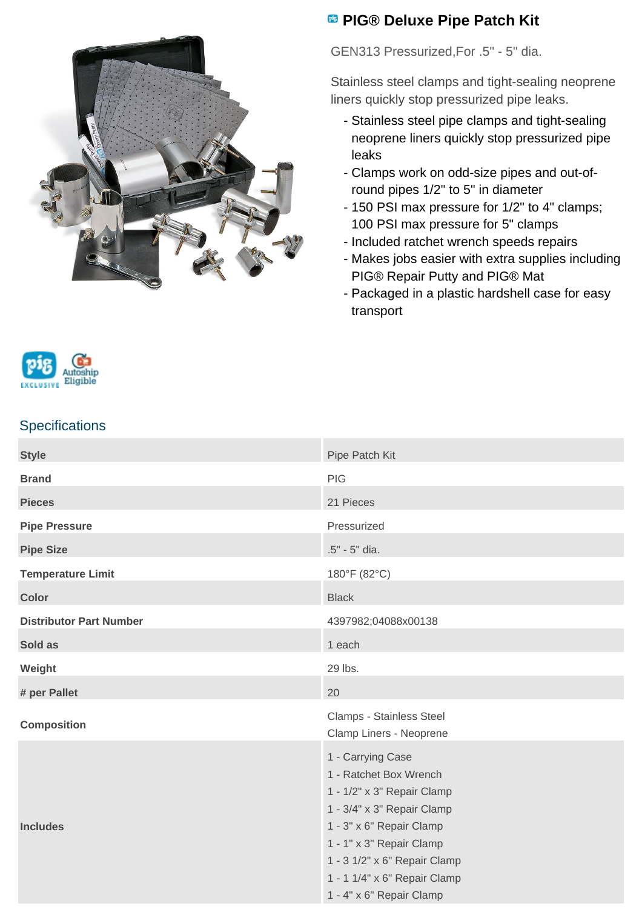

## **<sup>B</sup>** PIG® Deluxe Pipe Patch Kit

GEN313 Pressurized,For .5" - 5" dia.

Stainless steel clamps and tight-sealing neoprene liners quickly stop pressurized pipe leaks.

- Stainless steel pipe clamps and tight-sealing neoprene liners quickly stop pressurized pipe leaks
- Clamps work on odd-size pipes and out-of- round pipes 1/2" to 5" in diameter
- 150 PSI max pressure for 1/2" to 4" clamps; 100 PSI max pressure for 5" clamps
- Included ratchet wrench speeds repairs
- Makes jobs easier with extra supplies including PIG® Repair Putty and PIG® Mat
- Packaged in a plastic hardshell case for easy transport



## **Specifications**

| <b>Style</b>                   | Pipe Patch Kit                                                                                                                                                                                                                                              |
|--------------------------------|-------------------------------------------------------------------------------------------------------------------------------------------------------------------------------------------------------------------------------------------------------------|
| <b>Brand</b>                   | <b>PIG</b>                                                                                                                                                                                                                                                  |
| <b>Pieces</b>                  | 21 Pieces                                                                                                                                                                                                                                                   |
| <b>Pipe Pressure</b>           | Pressurized                                                                                                                                                                                                                                                 |
| <b>Pipe Size</b>               | .5" - 5" dia.                                                                                                                                                                                                                                               |
| <b>Temperature Limit</b>       | 180°F (82°C)                                                                                                                                                                                                                                                |
| <b>Color</b>                   | <b>Black</b>                                                                                                                                                                                                                                                |
| <b>Distributor Part Number</b> | 4397982;04088x00138                                                                                                                                                                                                                                         |
| Sold as                        | 1 each                                                                                                                                                                                                                                                      |
| Weight                         | 29 lbs.                                                                                                                                                                                                                                                     |
| # per Pallet                   | 20                                                                                                                                                                                                                                                          |
| <b>Composition</b>             | Clamps - Stainless Steel<br>Clamp Liners - Neoprene                                                                                                                                                                                                         |
| <b>Includes</b>                | 1 - Carrying Case<br>1 - Ratchet Box Wrench<br>1 - 1/2" x 3" Repair Clamp<br>1 - 3/4" x 3" Repair Clamp<br>1 - 3" x 6" Repair Clamp<br>1 - 1" x 3" Repair Clamp<br>1 - 3 1/2" x 6" Repair Clamp<br>1 - 1 1/4" x 6" Repair Clamp<br>1 - 4" x 6" Repair Clamp |